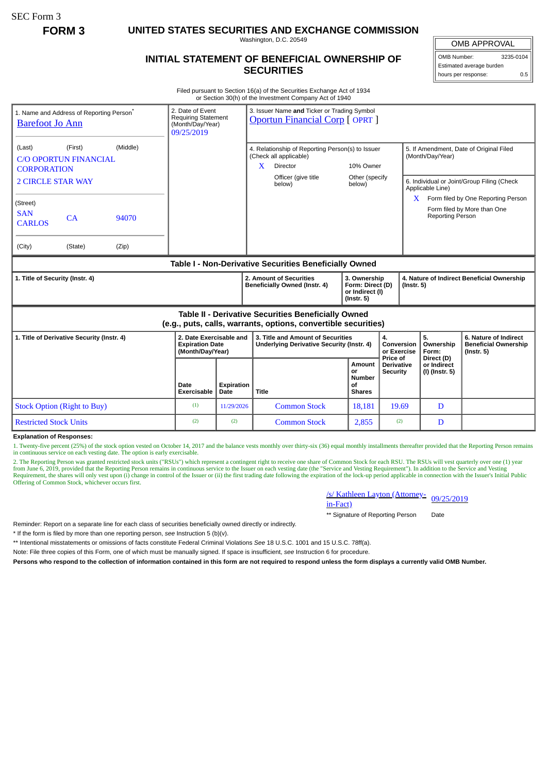SEC Form 3

**FORM 3 UNITED STATES SECURITIES AND EXCHANGE COMMISSION**

Washington, D.C. 20549

## **INITIAL STATEMENT OF BENEFICIAL OWNERSHIP OF SECURITIES**

OMB APPROVAL

OMB Number: 3235-0104 Estimated average burden hours per response: 0.5

Filed pursuant to Section 16(a) of the Securities Exchange Act of 1934 or Section 30(h) of the Investment Company Act of 1940

| 1. Name and Address of Reporting Person <sup>®</sup><br><b>Barefoot Jo Ann</b>                                        |       | 2. Date of Event<br>3. Issuer Name and Ticker or Trading Symbol<br><b>Requiring Statement</b><br><b>Oportun Financial Corp [ OPRT ]</b><br>(Month/Day/Year)<br>09/25/2019 |                    |                                                                                                                              |                                                      |                                                                         |                                                                                                           |                                                                          |  |
|-----------------------------------------------------------------------------------------------------------------------|-------|---------------------------------------------------------------------------------------------------------------------------------------------------------------------------|--------------------|------------------------------------------------------------------------------------------------------------------------------|------------------------------------------------------|-------------------------------------------------------------------------|-----------------------------------------------------------------------------------------------------------|--------------------------------------------------------------------------|--|
| (Middle)<br>(First)<br>(Last)<br><b>C/O OPORTUN FINANCIAL</b><br><b>CORPORATION</b><br><b>2 CIRCLE STAR WAY</b>       |       |                                                                                                                                                                           |                    | 4. Relationship of Reporting Person(s) to Issuer<br>(Check all applicable)<br>X<br>Director<br>Officer (give title<br>below) | 10% Owner<br>Other (specify<br>below)                |                                                                         | 5. If Amendment, Date of Original Filed<br>(Month/Day/Year)<br>6. Individual or Joint/Group Filing (Check |                                                                          |  |
| (Street)<br><b>SAN</b><br>CA<br><b>CARLOS</b>                                                                         | 94070 |                                                                                                                                                                           |                    |                                                                                                                              |                                                      | X.                                                                      | Applicable Line)<br><b>Reporting Person</b>                                                               | Form filed by One Reporting Person<br>Form filed by More than One        |  |
| (City)<br>(State)                                                                                                     | (Zip) |                                                                                                                                                                           |                    |                                                                                                                              |                                                      |                                                                         |                                                                                                           |                                                                          |  |
| Table I - Non-Derivative Securities Beneficially Owned                                                                |       |                                                                                                                                                                           |                    |                                                                                                                              |                                                      |                                                                         |                                                                                                           |                                                                          |  |
| 1. Title of Security (Instr. 4)                                                                                       |       |                                                                                                                                                                           |                    | 2. Amount of Securities<br><b>Beneficially Owned (Instr. 4)</b>                                                              |                                                      | 3. Ownership<br>Form: Direct (D)<br>$($ Instr. 5 $)$<br>or Indirect (I) | 4. Nature of Indirect Beneficial Ownership                                                                |                                                                          |  |
| Table II - Derivative Securities Beneficially Owned<br>(e.g., puts, calls, warrants, options, convertible securities) |       |                                                                                                                                                                           |                    |                                                                                                                              |                                                      |                                                                         |                                                                                                           |                                                                          |  |
| 1. Title of Derivative Security (Instr. 4)                                                                            |       | 2. Date Exercisable and<br><b>Expiration Date</b><br>(Month/Day/Year)                                                                                                     |                    | 3. Title and Amount of Securities<br>Underlying Derivative Security (Instr. 4)                                               |                                                      | 4.<br>Conversion<br>or Exercise                                         | 5.<br>Ownership<br>Form:                                                                                  | 6. Nature of Indirect<br><b>Beneficial Ownership</b><br>$($ lnstr. 5 $)$ |  |
|                                                                                                                       |       | Date<br><b>Exercisable</b>                                                                                                                                                | Expiration<br>Date | <b>Title</b>                                                                                                                 | Amount<br>or<br><b>Number</b><br>οf<br><b>Shares</b> | Price of<br><b>Derivative</b><br>Security                               | Direct (D)<br>or Indirect<br>(I) (Instr. 5)                                                               |                                                                          |  |
| <b>Stock Option (Right to Buy)</b>                                                                                    |       | (1)                                                                                                                                                                       | 11/29/2026         | <b>Common Stock</b>                                                                                                          | 18.181                                               | 19.69                                                                   | D                                                                                                         |                                                                          |  |
| <b>Restricted Stock Units</b>                                                                                         |       | (2)                                                                                                                                                                       | (2)                | <b>Common Stock</b>                                                                                                          | 2,855                                                | (2)                                                                     | D                                                                                                         |                                                                          |  |

**Explanation of Responses:**

1. Twenty-five percent (25%) of the stock option vested on October 14, 2017 and the balance vests monthly over thirty-six (36) equal monthly installments thereafter provided that the Reporting Person remains in continuous service on each vesting date. The option is early exercisable.

2. The Reporting Person was granted restricted stock units ("RSUs") which represent a contingent right to receive one share of Common Stock for each RSU. The RSUs will vest quarterly over one (1) year<br>from June 6, 2019, pr Requirement, the shares will only vest upon (i) change in control of the Issuer or (ii) the first trading date following the expiration of the lock-up period applicable in connection with the Issuer's Initial Public Offering of Common Stock, whichever occurs first.

/s/ Kathleen Layton (Attorney-<br>in-Fact)

\*\* Signature of Reporting Person Date

Reminder: Report on a separate line for each class of securities beneficially owned directly or indirectly.

\* If the form is filed by more than one reporting person, *see* Instruction 5 (b)(v).

\*\* Intentional misstatements or omissions of facts constitute Federal Criminal Violations *See* 18 U.S.C. 1001 and 15 U.S.C. 78ff(a).

Note: File three copies of this Form, one of which must be manually signed. If space is insufficient, *see* Instruction 6 for procedure.

**Persons who respond to the collection of information contained in this form are not required to respond unless the form displays a currently valid OMB Number.**